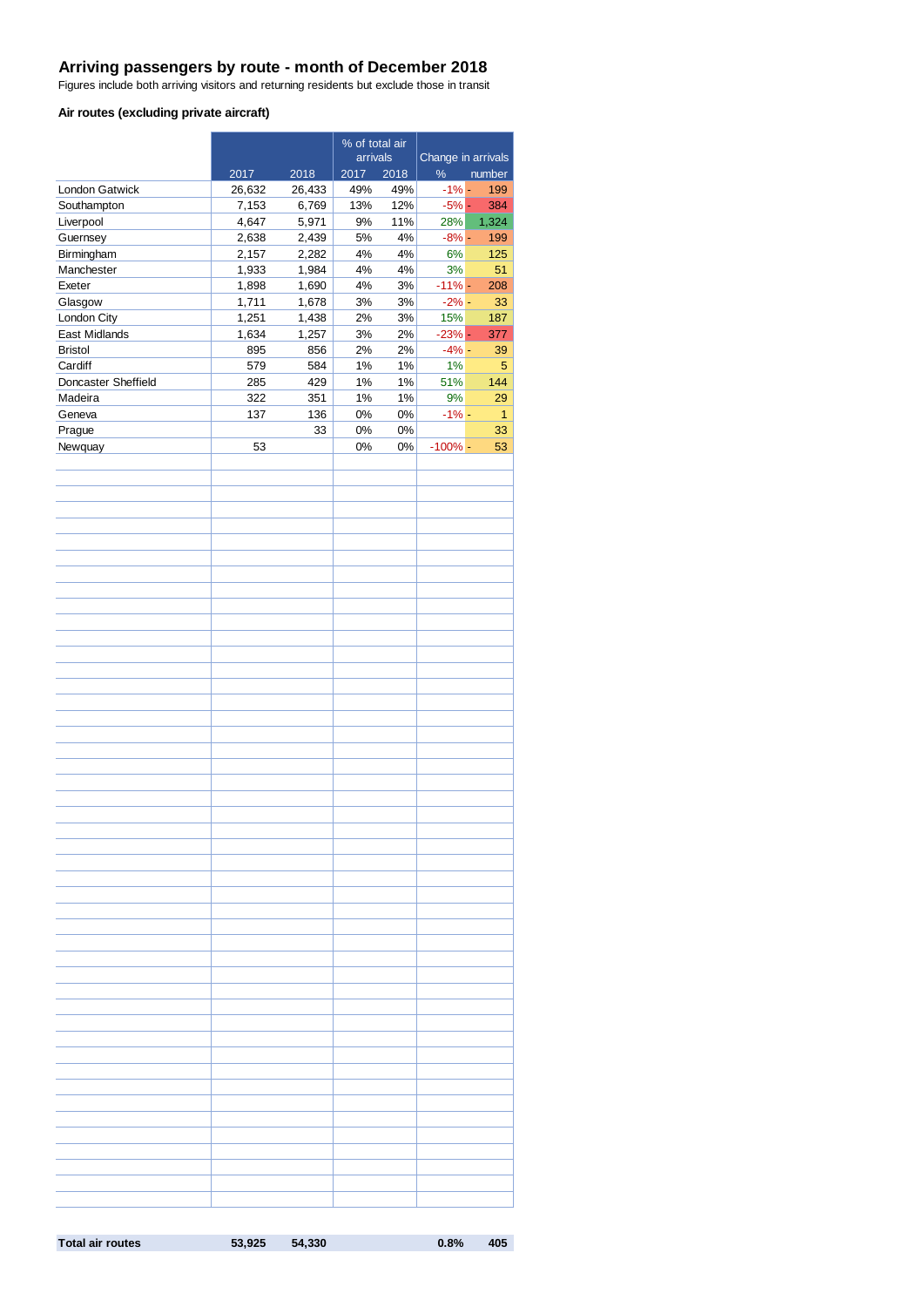#### **Arriving passengers by route - month of December 2018**

Figures include both arriving visitors and returning residents but exclude those in transit

#### **Air routes (excluding private aircraft)**

|                          | % of total air |                |           |            |                    |              |
|--------------------------|----------------|----------------|-----------|------------|--------------------|--------------|
|                          |                |                | arrivals  |            | Change in arrivals |              |
|                          | 2017           | 2018           | 2017      | 2018       | $\%$               | number       |
| <b>London Gatwick</b>    | 26,632         | 26,433         | 49%       | 49%        | $-1\%$ -           | 199          |
| Southampton              | 7,153          | 6,769          | 13%<br>9% | 12%<br>11% | $-5%$ -<br>28%     | 384          |
| Liverpool<br>Guernsey    | 4,647<br>2,638 | 5,971<br>2,439 | 5%        | 4%         | $-8% -$            | 1,324<br>199 |
|                          | 2,157          | 2,282          | 4%        | 4%         | 6%                 | 125          |
| Birmingham<br>Manchester | 1,933          | 1,984          | $4\%$     | $4\%$      | 3%                 | 51           |
| Exeter                   | 1,898          |                | 4%        | 3%         | $-11% -$           | 208          |
| Glasgow                  | 1,711          | 1,690<br>1,678 | 3%        | $3%$       | $-2\%$ -           | 33           |
| London City              | 1,251          | 1,438          | 2%        | 3%         | 15%                | 187          |
| East Midlands            | 1,634          | 1,257          | 3%        | 2%         | $-23% -$           | 377          |
| <b>Bristol</b>           | 895            | 856            | 2%        | 2%         | $-4% -$            | 39           |
| Cardiff                  | 579            | 584            | 1%        | 1%         | 1%                 | 5            |
| Doncaster Sheffield      | 285            | 429            | 1%        | $1\%$      | 51%                | 144          |
| Madeira                  | 322            | 351            | $1\%$     | $1\%$      | 9%                 | 29           |
| Geneva                   | 137            | 136            | 0%        | 0%         | $-1%$ -            | 1            |
|                          |                | 33             | $0\%$     | $0\%$      |                    | 33           |
| Prague                   | 53             |                | $0\%$     |            | $-100%$ -          |              |
| Newquay                  |                |                |           | 0%         |                    | 53           |
|                          |                |                |           |            |                    |              |
|                          |                |                |           |            |                    |              |
|                          |                |                |           |            |                    |              |
|                          |                |                |           |            |                    |              |
|                          |                |                |           |            |                    |              |
|                          |                |                |           |            |                    |              |
|                          |                |                |           |            |                    |              |
|                          |                |                |           |            |                    |              |
|                          |                |                |           |            |                    |              |
|                          |                |                |           |            |                    |              |
|                          |                |                |           |            |                    |              |
|                          |                |                |           |            |                    |              |
|                          |                |                |           |            |                    |              |
|                          |                |                |           |            |                    |              |
|                          |                |                |           |            |                    |              |
|                          |                |                |           |            |                    |              |
|                          |                |                |           |            |                    |              |
|                          |                |                |           |            |                    |              |
|                          |                |                |           |            |                    |              |
|                          |                |                |           |            |                    |              |
|                          |                |                |           |            |                    |              |
|                          |                |                |           |            |                    |              |
|                          |                |                |           |            |                    |              |
|                          |                |                |           |            |                    |              |
|                          |                |                |           |            |                    |              |
|                          |                |                |           |            |                    |              |
|                          |                |                |           |            |                    |              |
|                          |                |                |           |            |                    |              |
|                          |                |                |           |            |                    |              |
|                          |                |                |           |            |                    |              |
|                          |                |                |           |            |                    |              |
|                          |                |                |           |            |                    |              |
|                          |                |                |           |            |                    |              |
|                          |                |                |           |            |                    |              |
|                          |                |                |           |            |                    |              |
|                          |                |                |           |            |                    |              |
|                          |                |                |           |            |                    |              |
|                          |                |                |           |            |                    |              |
|                          |                |                |           |            |                    |              |
|                          |                |                |           |            |                    |              |
|                          |                |                |           |            |                    |              |
|                          |                |                |           |            |                    |              |
|                          |                |                |           |            |                    |              |
|                          |                |                |           |            |                    |              |
|                          |                |                |           |            |                    |              |
|                          |                |                |           |            |                    |              |
|                          |                |                |           |            |                    |              |
|                          |                |                |           |            |                    |              |

**Total air routes 53,925 54,330 0.8% 405**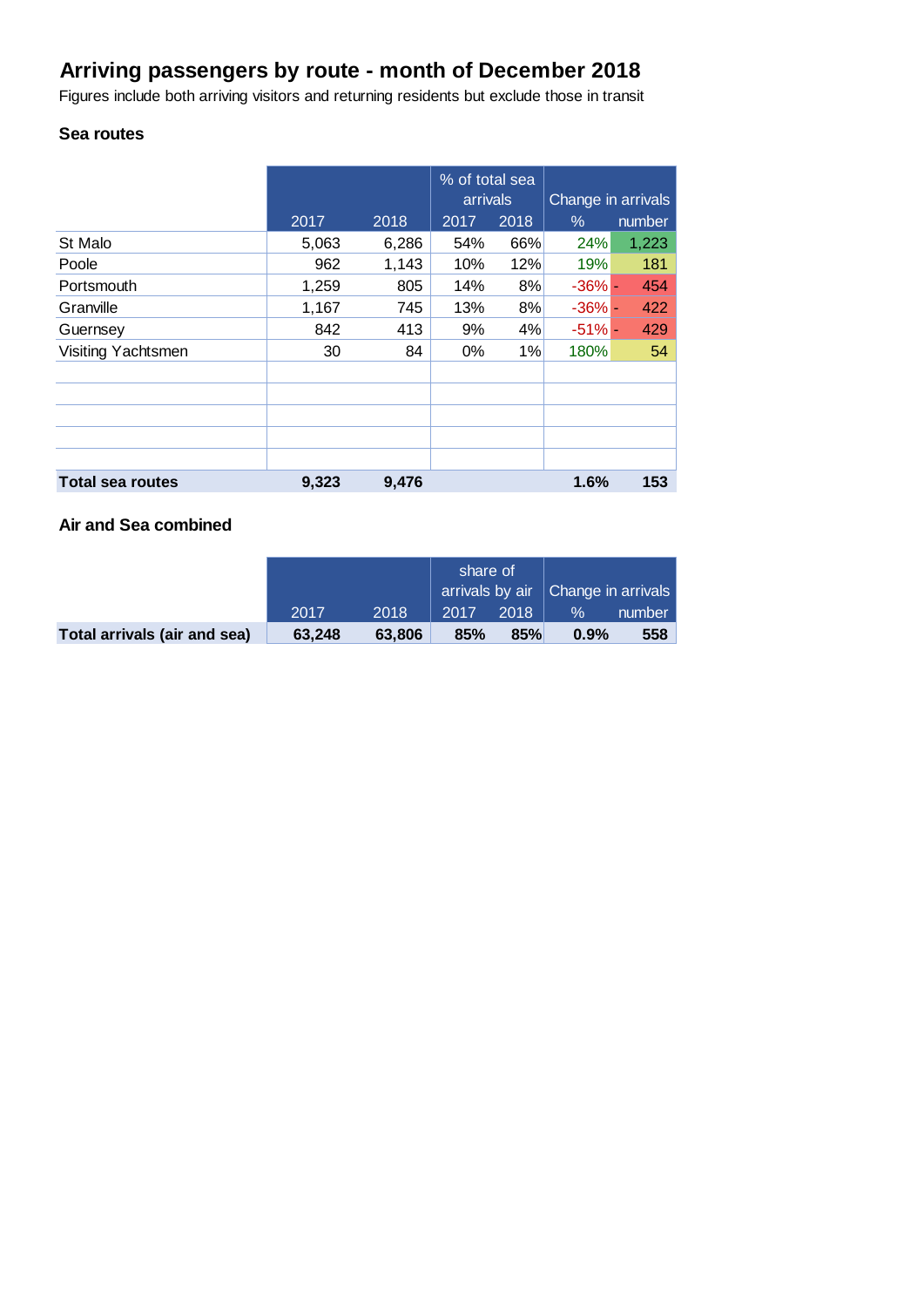## **Arriving passengers by route - month of December 2018**

Figures include both arriving visitors and returning residents but exclude those in transit

## **Sea routes**

|                         |       |       | % of total sea<br>arrivals |      | Change in arrivals |        |
|-------------------------|-------|-------|----------------------------|------|--------------------|--------|
|                         | 2017  | 2018  | 2017                       | 2018 | $\%$               | number |
| St Malo                 | 5,063 | 6,286 | 54%                        | 66%  | 24%                | 1,223  |
| Poole                   | 962   | 1,143 | 10%                        | 12%  | 19%                | 181    |
| Portsmouth              | 1,259 | 805   | 14%                        | 8%   | $-36\%$ -          | 454    |
| Granville               | 1,167 | 745   | 13%                        | 8%   | $-36\%$ -          | 422    |
| Guernsey                | 842   | 413   | 9%                         | 4%   | $-51%$             | 429    |
| Visiting Yachtsmen      | 30    | 84    | $0\%$                      | 1%   | 180%               | 54     |
|                         |       |       |                            |      |                    |        |
|                         |       |       |                            |      |                    |        |
|                         |       |       |                            |      |                    |        |
|                         |       |       |                            |      |                    |        |
|                         |       |       |                            |      |                    |        |
| <b>Total sea routes</b> | 9,323 | 9,476 |                            |      | 1.6%               | 153    |

## **Air and Sea combined**

|                              |        |        | share of<br>arrivals by air   Change in arrivals |      |      |        |
|------------------------------|--------|--------|--------------------------------------------------|------|------|--------|
|                              | 2017   | 2018   | 2017                                             | 2018 | $\%$ | number |
| Total arrivals (air and sea) | 63.248 | 63,806 | 85%                                              | 85%  | 0.9% | 558    |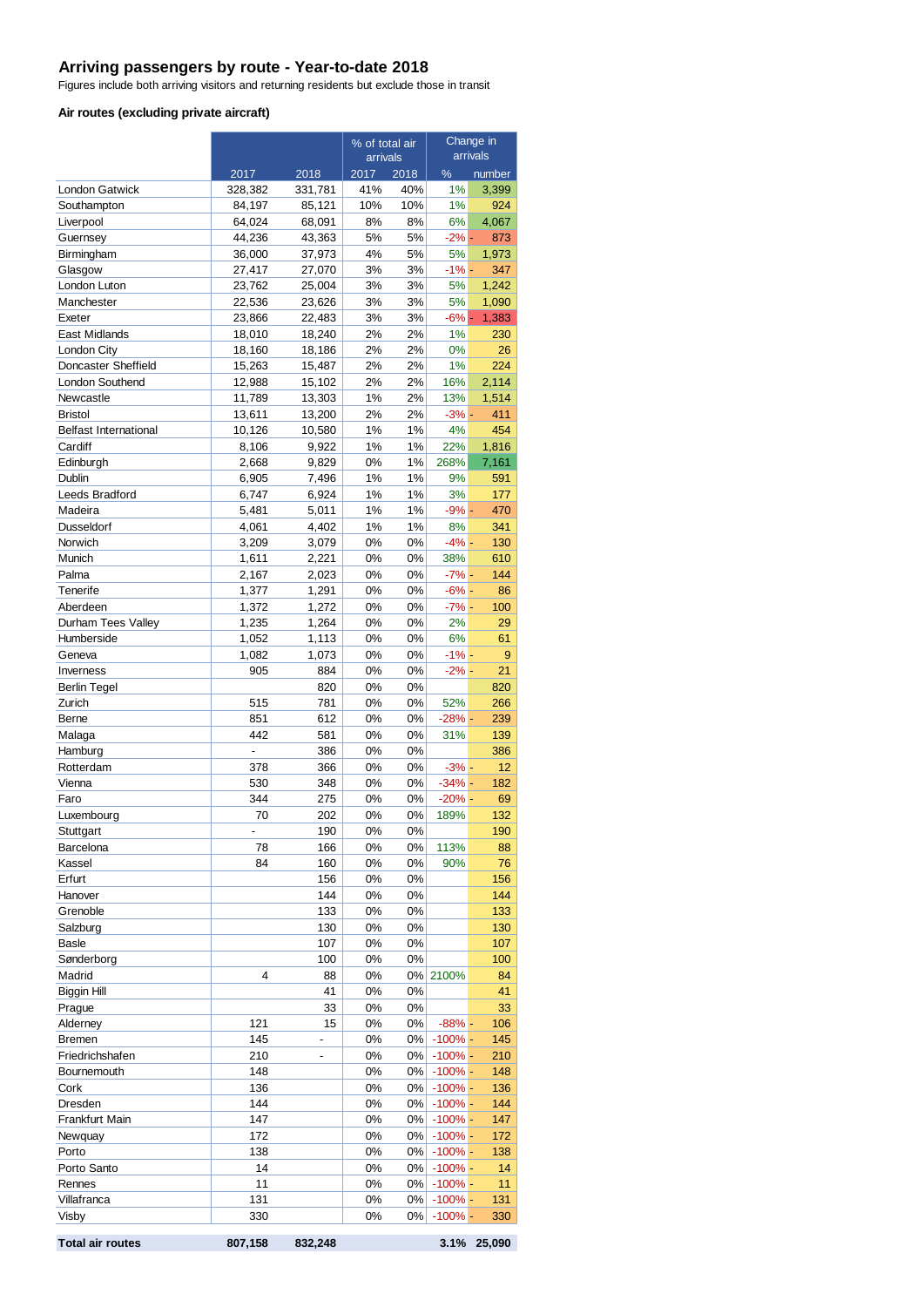#### **Arriving passengers by route - Year-to-date 2018**

Figures include both arriving visitors and returning residents but exclude those in transit

#### **Air routes (excluding private aircraft)**

|                               |                  |                  | % of total air           |          | Change in<br>arrivals   |              |
|-------------------------------|------------------|------------------|--------------------------|----------|-------------------------|--------------|
|                               | 2017             | 2018             | arrivals<br>2017<br>2018 |          | %                       | number       |
| <b>London Gatwick</b>         | 328,382          | 331,781          | 41%                      | 40%      | 1%                      | 3,399        |
| Southampton                   | 84,197           | 85,121           | 10%                      | 10%      | 1%                      | 924          |
| Liverpool                     | 64,024           | 68,091           | 8%                       | 8%       | 6%                      | 4,067        |
| Guernsey                      | 44,236           | 43,363           | 5%                       | 5%       | $-2\%$ -                | 873          |
| Birmingham                    | 36,000           | 37,973           | 4%                       | 5%       | 5%                      | 1,973        |
| Glasgow                       | 27,417           | 27,070           | 3%                       | 3%       | $-1% -$                 | 347          |
| London Luton                  | 23,762           | 25,004           | 3%                       | 3%       | 5%                      | 1.242        |
| Manchester                    | 22,536<br>23,866 | 23,626           | 3%                       | 3%       | 5%<br>$-6\% -$          | 1,090        |
| Exeter<br>East Midlands       | 18,010           | 22,483<br>18,240 | 3%<br>2%                 | 3%<br>2% | 1%                      | 1,383<br>230 |
| London City                   | 18,160           | 18,186           | 2%                       | 2%       | 0%                      | 26           |
| Doncaster Sheffield           | 15,263           | 15,487           | 2%                       | 2%       | 1%                      | 224          |
| <b>London Southend</b>        | 12,988           | 15,102           | 2%                       | 2%       | 16%                     | 2,114        |
| Newcastle                     | 11,789           | 13,303           | 1%                       | 2%       | 13%                     | 1,514        |
| <b>Bristol</b>                | 13,611           | 13,200           | 2%                       | 2%       | $-3%$ -                 | 411          |
| <b>Belfast International</b>  | 10,126           | 10,580           | 1%                       | 1%       | 4%                      | 454          |
| Cardiff                       | 8,106            | 9,922            | 1%                       | 1%       | 22%                     | 1,816        |
| Edinburgh                     | 2,668            | 9,829            | 0%                       | 1%       | 268%                    | 7,161        |
| Dublin                        | 6,905            | 7,496            | 1%                       | 1%       | 9%                      | 591          |
| Leeds Bradford<br>Madeira     | 6,747<br>5,481   | 6,924<br>5,011   | 1%<br>1%                 | 1%<br>1% | 3%<br>$-9% -$           | 177<br>470   |
| Dusseldorf                    | 4,061            | 4,402            | 1%                       | 1%       | 8%                      | 341          |
| Norwich                       | 3,209            | 3,079            | 0%                       | 0%       | $-4% -$                 | 130          |
| Munich                        | 1,611            | 2,221            | 0%                       | 0%       | 38%                     | 610          |
| Palma                         | 2,167            | 2,023            | 0%                       | 0%       | $-7% -$                 | 144          |
| Tenerife                      | 1,377            | 1,291            | 0%                       | 0%       | $-6\%$ -                | 86           |
| Aberdeen                      | 1,372            | 1,272            | 0%                       | 0%       | $-7% -$                 | 100          |
| Durham Tees Valley            | 1,235            | 1,264            | 0%                       | 0%       | 2%                      | 29           |
| Humberside                    | 1,052            | 1,113            | 0%                       | 0%       | 6%                      | 61           |
| Geneva                        | 1,082            | 1,073            | 0%                       | 0%       | $-1% -$                 | 9            |
| Inverness                     | 905              | 884<br>820       | 0%<br>0%                 | 0%<br>0% | $-2% -$                 | 21<br>820    |
| <b>Berlin Tegel</b><br>Zurich | 515              | 781              | 0%                       | 0%       | 52%                     | 266          |
| Berne                         | 851              | 612              | 0%                       | 0%       | $-28% -$                | 239          |
| Malaga                        | 442              | 581              | 0%                       | 0%       | 31%                     | 139          |
| Hamburg                       |                  | 386              | 0%                       | 0%       |                         | 386          |
| Rotterdam                     | 378              | 366              | 0%                       | 0%       | $-3% -$                 | 12           |
| Vienna                        | 530              | 348              | 0%                       | 0%       | $-34% -$                | 182          |
| Faro                          | 344              | 275              | 0%                       | 0%       | $-20%$ -                | 69           |
| Luxembourg                    | 70               | 202              | 0%                       | 0%       | 189%                    | 132          |
| Stuttgart                     |                  | 190              | 0%                       | 0%       |                         | 190          |
| Barcelona                     | 78               | 166              | 0%                       | 0%       | 113%                    | 88           |
| Kassel                        | 84               | 160              | 0%                       | 0%       | 90%                     | 76           |
| Erfurt<br>Hanover             |                  | 156<br>144       | 0%<br>0%                 | 0%<br>0% |                         | 156<br>144   |
| Grenoble                      |                  | 133              | 0%                       | 0%       |                         | 133          |
| Salzburg                      |                  | 130              | 0%                       | 0%       |                         | 130          |
| <b>Basle</b>                  |                  | 107              | 0%                       | 0%       |                         | 107          |
| Sønderborg                    |                  | 100              | 0%                       | 0%       |                         | 100          |
| Madrid                        | 4                | 88               | 0%                       |          | 0% 2100%                | 84           |
| Biggin Hill                   |                  | 41               | 0%                       | 0%       |                         | 41           |
| Prague                        |                  | 33               | 0%                       | 0%       |                         | 33           |
| Alderney                      | 121              | 15               | 0%                       | 0%       | $-88%$ -                | 106          |
| <b>Bremen</b>                 | 145              | -                | 0%                       |          | $0\%$ -100% -           | 145          |
| Friedrichshafen               | 210<br>148       |                  | 0%<br>0%                 | $0\%$    | $-100%$ -               | 210          |
| Bournemouth<br>Cork           | 136              |                  | 0%                       | 0%<br>0% | $-100\%$ -<br>$-100%$ - | 148<br>136   |
| Dresden                       | 144              |                  | 0%                       | 0%       | $-100% -$               | 144          |
| Frankfurt Main                | 147              |                  | 0%                       | 0%       | $-100%$ -               | 147          |
| Newquay                       | 172              |                  | 0%                       | 0%       | $-100%$ -               | 172          |
| Porto                         | 138              |                  | 0%                       | 0%       | $-100% -$               | 138          |
| Porto Santo                   | 14               |                  | 0%                       | $0\%$    | $-100%$ -               | 14           |
| Rennes                        | 11               |                  | 0%                       | $0\%$    | $-100\%$ -              | 11           |
| Villafranca                   | 131              |                  | 0%                       |          | $0\%$ -100% -           | 131          |
| Visby                         | 330              |                  | 0%                       | $0\%$    | $-100\%$ -              | 330          |
| <b>Total air routes</b>       | 807,158          | 832,248          |                          |          | 3.1%                    | 25,090       |